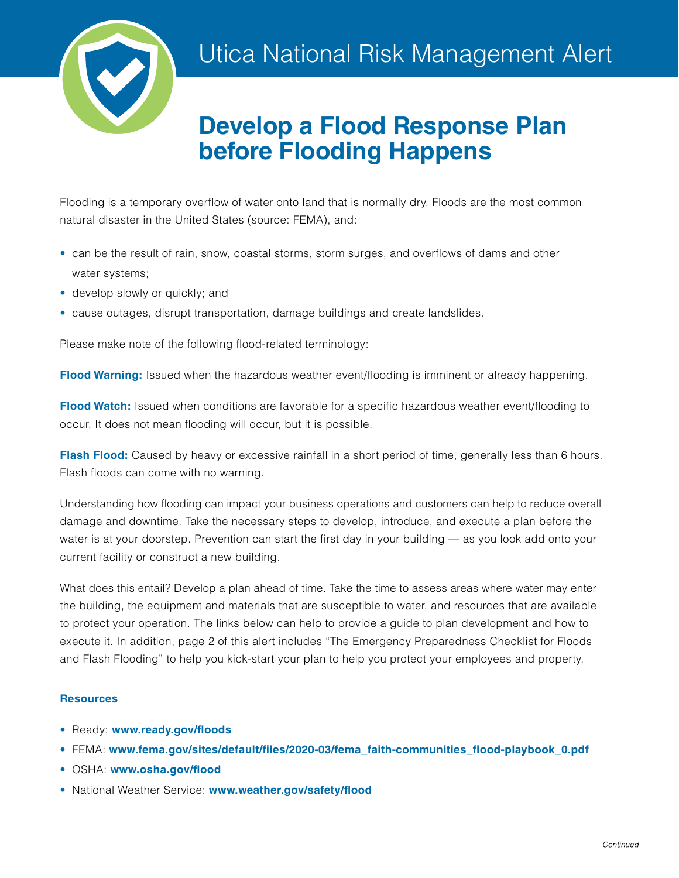

# **Develop a Flood Response Plan before Flooding Happens**

Flooding is a temporary overflow of water onto land that is normally dry. Floods are the most common natural disaster in the United States (source: FEMA), and:

- can be the result of rain, snow, coastal storms, storm surges, and overflows of dams and other water systems;
- develop slowly or quickly; and
- cause outages, disrupt transportation, damage buildings and create landslides.

Please make note of the following flood-related terminology:

**Flood Warning:** Issued when the hazardous weather event/flooding is imminent or already happening.

**Flood Watch:** Issued when conditions are favorable for a specific hazardous weather event/flooding to occur. It does not mean flooding will occur, but it is possible.

**Flash Flood:** Caused by heavy or excessive rainfall in a short period of time, generally less than 6 hours. Flash floods can come with no warning.

Understanding how flooding can impact your business operations and customers can help to reduce overall damage and downtime. Take the necessary steps to develop, introduce, and execute a plan before the water is at your doorstep. Prevention can start the first day in your building — as you look add onto your current facility or construct a new building.

What does this entail? Develop a plan ahead of time. Take the time to assess areas where water may enter the building, the equipment and materials that are susceptible to water, and resources that are available to protect your operation. The links below can help to provide a guide to plan development and how to execute it. In addition, page 2 of this alert includes "The Emergency Preparedness Checklist for Floods and Flash Flooding" to help you kick-start your plan to help you protect your employees and property.

### **Resources**

- Ready: **[www.ready.gov/floods](http://www.ready.gov/floods)**
- FEMA: **[www.fema.gov/sites/default/files/2020-03/fema\\_faith-communities\\_flood-playbook\\_0.pdf](http://www.fema.gov/sites/default/files/2020-03/fema_faith-communities_flood-playbook_0.pdf)**
- OSHA: **[www.osha.gov/flood](http://www.osha.gov/flood)**
- National Weather Service: **[www.weather.gov/safety/flood](http://www.weather.gov/safety/flood)**